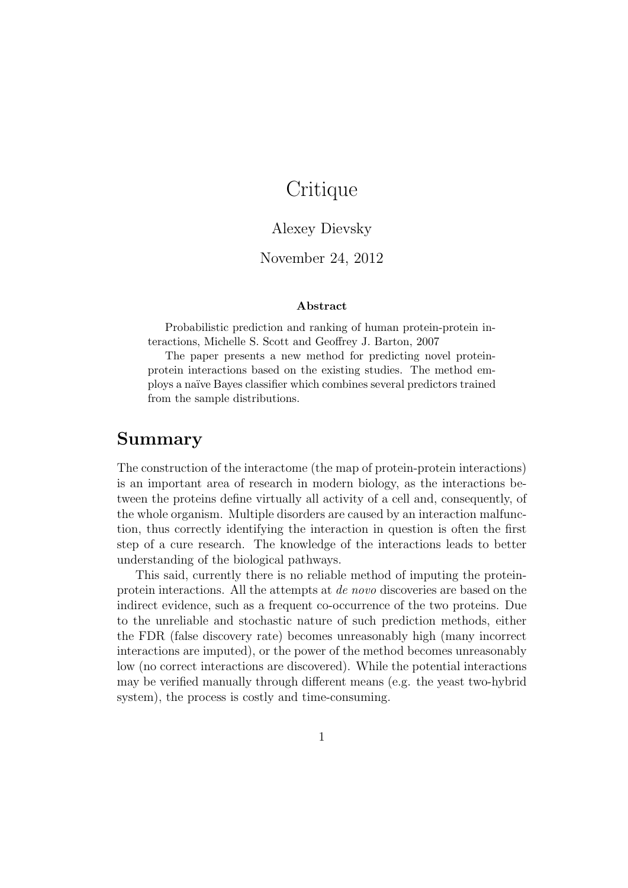# **Critique**

### Alexey Dievsky

### November 24, 2012

#### Abstract

Probabilistic prediction and ranking of human protein-protein interactions, Michelle S. Scott and Geoffrey J. Barton, 2007

The paper presents a new method for predicting novel proteinprotein interactions based on the existing studies. The method employs a na¨ıve Bayes classifier which combines several predictors trained from the sample distributions.

## Summary

The construction of the interactome (the map of protein-protein interactions) is an important area of research in modern biology, as the interactions between the proteins define virtually all activity of a cell and, consequently, of the whole organism. Multiple disorders are caused by an interaction malfunction, thus correctly identifying the interaction in question is often the first step of a cure research. The knowledge of the interactions leads to better understanding of the biological pathways.

This said, currently there is no reliable method of imputing the proteinprotein interactions. All the attempts at de novo discoveries are based on the indirect evidence, such as a frequent co-occurrence of the two proteins. Due to the unreliable and stochastic nature of such prediction methods, either the FDR (false discovery rate) becomes unreasonably high (many incorrect interactions are imputed), or the power of the method becomes unreasonably low (no correct interactions are discovered). While the potential interactions may be verified manually through different means (e.g. the yeast two-hybrid system), the process is costly and time-consuming.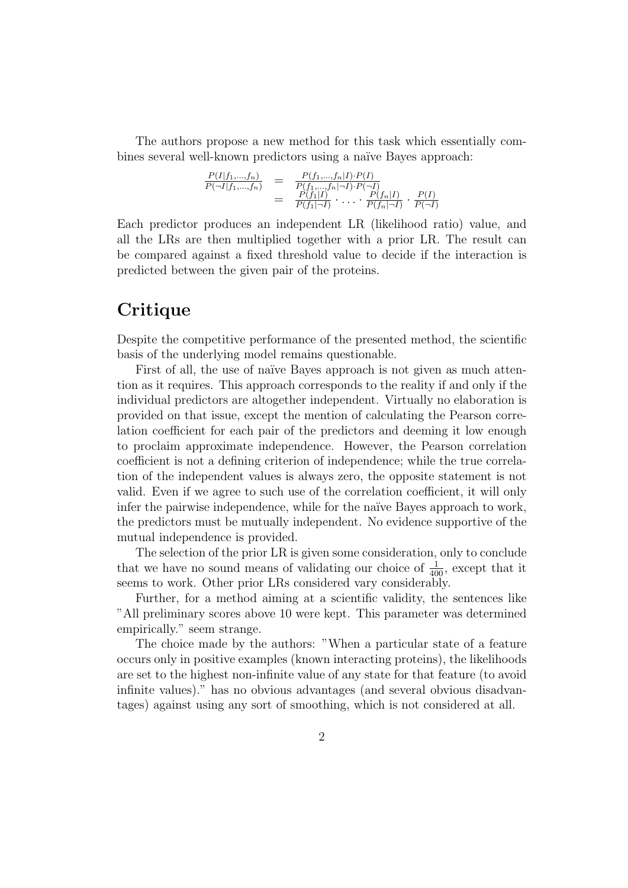The authors propose a new method for this task which essentially combines several well-known predictors using a naïve Bayes approach:

$$
\frac{P(I|f_1,...,f_n)}{P(\neg I|f_1,...,f_n)} = \frac{P(f_1,...,f_n|I) \cdot P(I)}{P(f_1,...,f_n|\neg I) \cdot P(\neg I)}
$$
  
= 
$$
\frac{P(f_1|I)}{P(f_1|\neg I)} \cdot \dots \cdot \frac{P(f_n|I)}{P(f_n|\neg I)} \cdot \frac{P(I)}{P(\neg I)}
$$

Each predictor produces an independent LR (likelihood ratio) value, and all the LRs are then multiplied together with a prior LR. The result can be compared against a fixed threshold value to decide if the interaction is predicted between the given pair of the proteins.

# **Critique**

Despite the competitive performance of the presented method, the scientific basis of the underlying model remains questionable.

First of all, the use of naïve Bayes approach is not given as much attention as it requires. This approach corresponds to the reality if and only if the individual predictors are altogether independent. Virtually no elaboration is provided on that issue, except the mention of calculating the Pearson correlation coefficient for each pair of the predictors and deeming it low enough to proclaim approximate independence. However, the Pearson correlation coefficient is not a defining criterion of independence; while the true correlation of the independent values is always zero, the opposite statement is not valid. Even if we agree to such use of the correlation coefficient, it will only infer the pairwise independence, while for the naïve Bayes approach to work, the predictors must be mutually independent. No evidence supportive of the mutual independence is provided.

The selection of the prior LR is given some consideration, only to conclude that we have no sound means of validating our choice of  $\frac{1}{400}$ , except that it seems to work. Other prior LRs considered vary considerably.

Further, for a method aiming at a scientific validity, the sentences like "All preliminary scores above 10 were kept. This parameter was determined empirically." seem strange.

The choice made by the authors: "When a particular state of a feature occurs only in positive examples (known interacting proteins), the likelihoods are set to the highest non-infinite value of any state for that feature (to avoid infinite values)." has no obvious advantages (and several obvious disadvantages) against using any sort of smoothing, which is not considered at all.